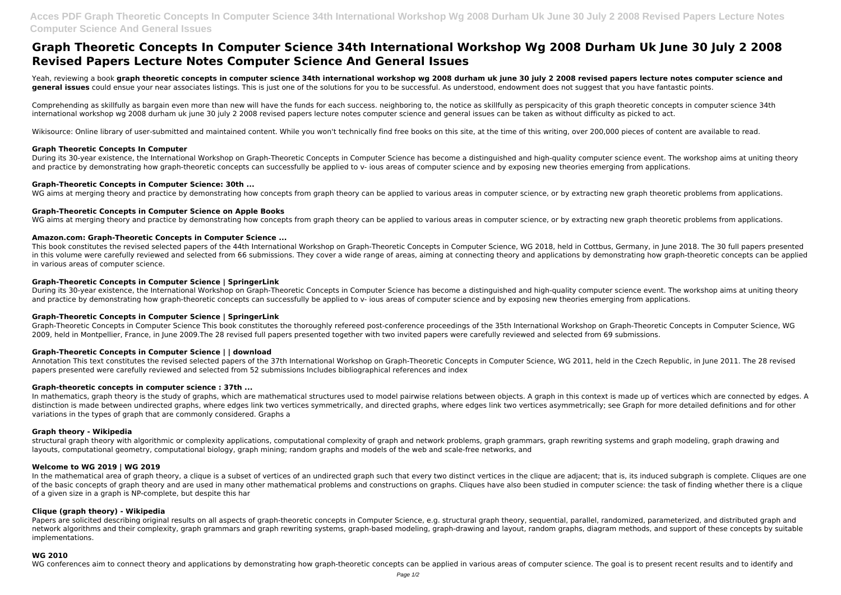# **Graph Theoretic Concepts In Computer Science 34th International Workshop Wg 2008 Durham Uk June 30 July 2 2008 Revised Papers Lecture Notes Computer Science And General Issues**

Yeah, reviewing a book **graph theoretic concepts in computer science 34th international workshop wg 2008 durham uk june 30 july 2 2008 revised papers lecture notes computer science and general issues** could ensue your near associates listings. This is just one of the solutions for you to be successful. As understood, endowment does not suggest that you have fantastic points.

Comprehending as skillfully as bargain even more than new will have the funds for each success, neighboring to, the notice as skillfully as perspicacity of this graph theoretic concepts in computer science 34th international workshop wg 2008 durham uk june 30 july 2 2008 revised papers lecture notes computer science and general issues can be taken as without difficulty as picked to act.

Wikisource: Online library of user-submitted and maintained content. While you won't technically find free books on this site, at the time of this writing, over 200,000 pieces of content are available to read.

#### **Graph Theoretic Concepts In Computer**

During its 30-year existence, the International Workshop on Graph-Theoretic Concepts in Computer Science has become a distinguished and high-quality computer science event. The workshop aims at uniting theory and practice by demonstrating how graph-theoretic concepts can successfully be applied to y- jous areas of computer science and by exposing new theories emerging from applications.

During its 30-year existence, the International Workshop on Graph-Theoretic Concepts in Computer Science has become a distinguished and high-quality computer science event. The workshop aims at uniting theory and practice by demonstrating how graph-theoretic concepts can successfully be applied to y- jous areas of computer science and by exposing new theories emerging from applications.

# **Graph-Theoretic Concepts in Computer Science: 30th ...**

WG aims at merging theory and practice by demonstrating how concepts from graph theory can be applied to various areas in computer science, or by extracting new graph theoretic problems from applications.

# **Graph-Theoretic Concepts in Computer Science on Apple Books**

WG aims at merging theory and practice by demonstrating how concepts from graph theory can be applied to various areas in computer science, or by extracting new graph theoretic problems from applications.

# **Amazon.com: Graph-Theoretic Concepts in Computer Science ...**

In mathematics, graph theory is the study of graphs, which are mathematical structures used to model pairwise relations between objects. A graph in this context is made up of vertices which are connected by edges. A distinction is made between undirected graphs, where edges link two vertices symmetrically, and directed graphs, where edges link two vertices asymmetrically; see Graph for more detailed definitions and for other variations in the types of graph that are commonly considered. Graphs a

This book constitutes the revised selected papers of the 44th International Workshop on Graph-Theoretic Concepts in Computer Science, WG 2018, held in Cottbus, Germany, in June 2018. The 30 full papers presented in this volume were carefully reviewed and selected from 66 submissions. They cover a wide range of areas, aiming at connecting theory and applications by demonstrating how graph-theoretic concepts can be applied in various areas of computer science.

In the mathematical area of graph theory, a clique is a subset of vertices of an undirected graph such that every two distinct vertices in the clique are adjacent; that is, its induced subgraph is complete. Cliques are one of the basic concepts of graph theory and are used in many other mathematical problems and constructions on graphs. Cliques have also been studied in computer science: the task of finding whether there is a clique of a given size in a graph is NP-complete, but despite this har

# **Graph-Theoretic Concepts in Computer Science | SpringerLink**

Papers are solicited describing original results on all aspects of graph-theoretic concepts in Computer Science, e.g. structural graph theory, sequential, parallel, randomized, parameterized, and distributed graph and network algorithms and their complexity, graph grammars and graph rewriting systems, graph-based modeling, graph-drawing and layout, random graphs, diagram methods, and support of these concepts by suitable implementations.

# **Graph-Theoretic Concepts in Computer Science | SpringerLink**

Graph-Theoretic Concepts in Computer Science This book constitutes the thoroughly refereed post-conference proceedings of the 35th International Workshop on Graph-Theoretic Concepts in Computer Science, WG 2009, held in Montpellier, France, in June 2009.The 28 revised full papers presented together with two invited papers were carefully reviewed and selected from 69 submissions.

# **Graph-Theoretic Concepts in Computer Science | | download**

Annotation This text constitutes the revised selected papers of the 37th International Workshop on Graph-Theoretic Concepts in Computer Science, WG 2011, held in the Czech Republic, in June 2011. The 28 revised papers presented were carefully reviewed and selected from 52 submissions Includes bibliographical references and index

# **Graph-theoretic concepts in computer science : 37th ...**

# **Graph theory - Wikipedia**

structural graph theory with algorithmic or complexity applications, computational complexity of graph and network problems, graph grammars, graph rewriting systems and graph modeling, graph drawing and layouts, computational geometry, computational biology, graph mining; random graphs and models of the web and scale-free networks, and

#### **Welcome to WG 2019 | WG 2019**

#### **Clique (graph theory) - Wikipedia**

#### **WG 2010**

WG conferences aim to connect theory and applications by demonstrating how graph-theoretic concepts can be applied in various areas of computer science. The goal is to present recent results and to identify and